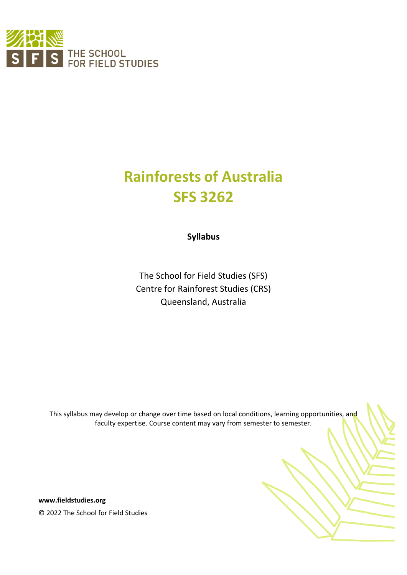

# **Rainforests of Australia SFS 3262**

**Syllabus**

The School for Field Studies (SFS) Centre for Rainforest Studies (CRS) Queensland, Australia

This syllabus may develop or change over time based on local conditions, learning opportunities, and faculty expertise. Course content may vary from semester to semester.

**www.fieldstudies.org** © 2022 The School for Field Studies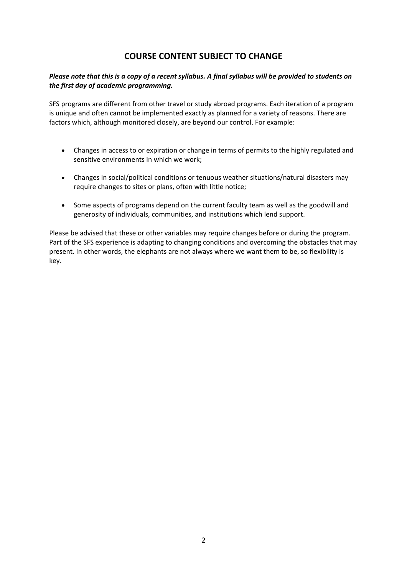# **COURSE CONTENT SUBJECT TO CHANGE**

#### *Please note that this is a copy of a recent syllabus. A final syllabus will be provided to students on the first day of academic programming.*

SFS programs are different from other travel or study abroad programs. Each iteration of a program is unique and often cannot be implemented exactly as planned for a variety of reasons. There are factors which, although monitored closely, are beyond our control. For example:

- Changes in access to or expiration or change in terms of permits to the highly regulated and sensitive environments in which we work;
- Changes in social/political conditions or tenuous weather situations/natural disasters may require changes to sites or plans, often with little notice;
- Some aspects of programs depend on the current faculty team as well as the goodwill and generosity of individuals, communities, and institutions which lend support.

Please be advised that these or other variables may require changes before or during the program. Part of the SFS experience is adapting to changing conditions and overcoming the obstacles that may present. In other words, the elephants are not always where we want them to be, so flexibility is key.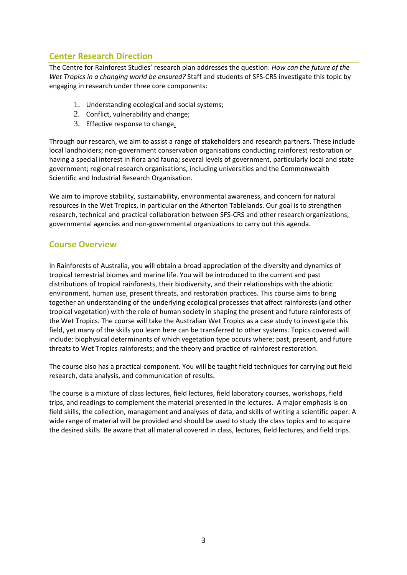# **Center Research Direction**

The Centre for Rainforest Studies' research plan addresses the question: *How can the future of the Wet Tropics in a changing world be ensured?* Staff and students of SFS-CRS investigate this topic by engaging in research under three core components:

- 1. Understanding ecological and social systems;
- 2. Conflict, vulnerability and change;
- 3. Effective response to change.

Through our research, we aim to assist a range of stakeholders and research partners. These include local landholders; non-government conservation organisations conducting rainforest restoration or having a special interest in flora and fauna; several levels of government, particularly local and state government; regional research organisations, including universities and the Commonwealth Scientific and Industrial Research Organisation.

We aim to improve stability, sustainability, environmental awareness, and concern for natural resources in the Wet Tropics, in particular on the Atherton Tablelands. Our goal is to strengthen research, technical and practical collaboration between SFS-CRS and other research organizations, governmental agencies and non-governmental organizations to carry out this agenda.

## **Course Overview**

In Rainforests of Australia, you will obtain a broad appreciation of the diversity and dynamics of tropical terrestrial biomes and marine life. You will be introduced to the current and past distributions of tropical rainforests, their biodiversity, and their relationships with the abiotic environment, human use, present threats, and restoration practices. This course aims to bring together an understanding of the underlying ecological processes that affect rainforests (and other tropical vegetation) with the role of human society in shaping the present and future rainforests of the Wet Tropics. The course will take the Australian Wet Tropics as a case study to investigate this field, yet many of the skills you learn here can be transferred to other systems. Topics covered will include: biophysical determinants of which vegetation type occurs where; past, present, and future threats to Wet Tropics rainforests; and the theory and practice of rainforest restoration.

The course also has a practical component. You will be taught field techniques for carrying out field research, data analysis, and communication of results.

The course is a mixture of class lectures, field lectures, field laboratory courses, workshops, field trips, and readings to complement the material presented in the lectures. A major emphasis is on field skills, the collection, management and analyses of data, and skills of writing a scientific paper. A wide range of material will be provided and should be used to study the class topics and to acquire the desired skills. Be aware that all material covered in class, lectures, field lectures, and field trips.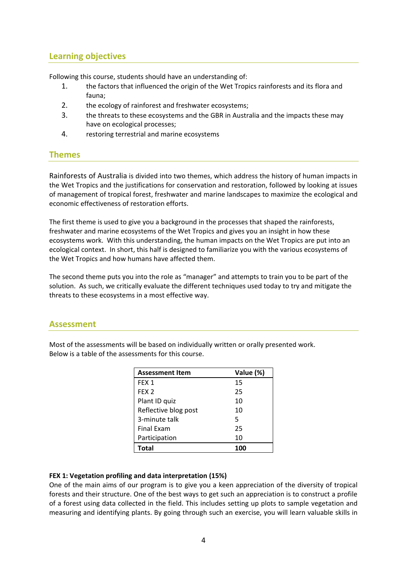# **Learning objectives**

Following this course, students should have an understanding of:

- 1. the factors that influenced the origin of the Wet Tropics rainforests and its flora and fauna;
- 2. the ecology of rainforest and freshwater ecosystems;
- 3. the threats to these ecosystems and the GBR in Australia and the impacts these may have on ecological processes;
- 4. restoring terrestrial and marine ecosystems

## **Themes**

Rainforests of Australia is divided into two themes, which address the history of human impacts in the Wet Tropics and the justifications for conservation and restoration, followed by looking at issues of management of tropical forest, freshwater and marine landscapes to maximize the ecological and economic effectiveness of restoration efforts.

The first theme is used to give you a background in the processes that shaped the rainforests, freshwater and marine ecosystems of the Wet Tropics and gives you an insight in how these ecosystems work. With this understanding, the human impacts on the Wet Tropics are put into an ecological context. In short, this half is designed to familiarize you with the various ecosystems of the Wet Tropics and how humans have affected them.

The second theme puts you into the role as "manager" and attempts to train you to be part of the solution. As such, we critically evaluate the different techniques used today to try and mitigate the threats to these ecosystems in a most effective way.

## **Assessment**

Most of the assessments will be based on individually written or orally presented work. Below is a table of the assessments for this course.

| <b>Assessment Item</b> | Value (%) |
|------------------------|-----------|
| FEX <sub>1</sub>       | 15        |
| FEX <sub>2</sub>       | 25        |
| Plant ID quiz          | 10        |
| Reflective blog post   | 10        |
| 3-minute talk          | 5         |
| <b>Final Exam</b>      | 25        |
| Participation          | 10        |
| Total                  |           |

#### **FEX 1: Vegetation profiling and data interpretation (15%)**

One of the main aims of our program is to give you a keen appreciation of the diversity of tropical forests and their structure. One of the best ways to get such an appreciation is to construct a profile of a forest using data collected in the field. This includes setting up plots to sample vegetation and measuring and identifying plants. By going through such an exercise, you will learn valuable skills in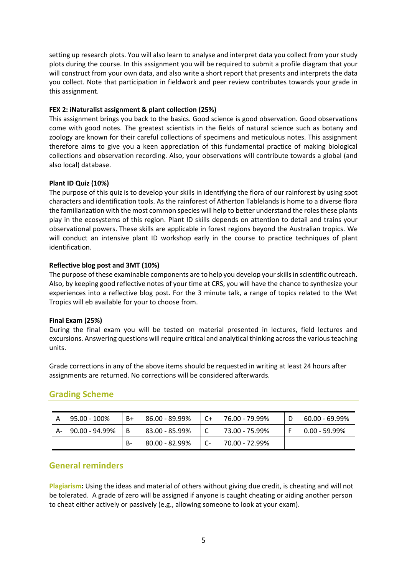setting up research plots. You will also learn to analyse and interpret data you collect from your study plots during the course. In this assignment you will be required to submit a profile diagram that your will construct from your own data, and also write a short report that presents and interprets the data you collect. Note that participation in fieldwork and peer review contributes towards your grade in this assignment.

#### **FEX 2: iNaturalist assignment & plant collection (25%)**

This assignment brings you back to the basics. Good science is good observation. Good observations come with good notes. The greatest scientists in the fields of natural science such as botany and zoology are known for their careful collections of specimens and meticulous notes. This assignment therefore aims to give you a keen appreciation of this fundamental practice of making biological collections and observation recording. Also, your observations will contribute towards a global (and also local) database.

#### **Plant ID Quiz (10%)**

The purpose of this quiz is to develop your skills in identifying the flora of our rainforest by using spot characters and identification tools. As the rainforest of Atherton Tablelands is home to a diverse flora the familiarization with the most common species will help to better understand the roles these plants play in the ecosystems of this region. Plant ID skills depends on attention to detail and trains your observational powers. These skills are applicable in forest regions beyond the Australian tropics. We will conduct an intensive plant ID workshop early in the course to practice techniques of plant identification.

#### **Reflective blog post and 3MT (10%)**

The purpose of these examinable components are to help you develop your skills in scientific outreach. Also, by keeping good reflective notes of your time at CRS, you will have the chance to synthesize your experiences into a reflective blog post. For the 3 minute talk, a range of topics related to the Wet Tropics will eb available for your to choose from.

#### **Final Exam (25%)**

During the final exam you will be tested on material presented in lectures, field lectures and excursions. Answering questions will require critical and analytical thinking across the various teaching units.

Grade corrections in any of the above items should be requested in writing at least 24 hours after assignments are returned. No corrections will be considered afterwards.

| A  | 95.00 - 100%   | B+ | 86.00 - 89.99% | . C+ | 76.00 - 79.99% | 60.00 - 69.99% |
|----|----------------|----|----------------|------|----------------|----------------|
| А- | 90.00 - 94.99% | -B | 83.00 - 85.99% |      | 73.00 - 75.99% | 0.00 - 59.99%  |
|    |                | -B | 80.00 - 82.99% | - C- | 70.00 - 72.99% |                |

## **Grading Scheme**

## **General reminders**

**Plagiarism:** Using the ideas and material of others without giving due credit, is cheating and will not be tolerated. A grade of zero will be assigned if anyone is caught cheating or aiding another person to cheat either actively or passively (e.g., allowing someone to look at your exam).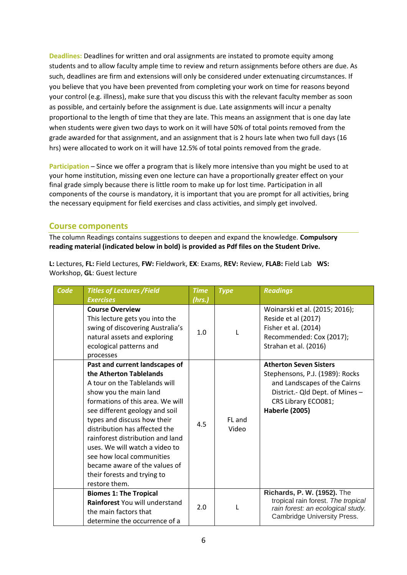**Deadlines:** Deadlines for written and oral assignments are instated to promote equity among students and to allow faculty ample time to review and return assignments before others are due. As such, deadlines are firm and extensions will only be considered under extenuating circumstances. If you believe that you have been prevented from completing your work on time for reasons beyond your control (e.g. illness), make sure that you discuss this with the relevant faculty member as soon as possible, and certainly before the assignment is due. Late assignments will incur a penalty proportional to the length of time that they are late. This means an assignment that is one day late when students were given two days to work on it will have 50% of total points removed from the grade awarded for that assignment, and an assignment that is 2 hours late when two full days (16 hrs) were allocated to work on it will have 12.5% of total points removed from the grade.

**Participation** – Since we offer a program that is likely more intensive than you might be used to at your home institution, missing even one lecture can have a proportionally greater effect on your final grade simply because there is little room to make up for lost time. Participation in all components of the course is mandatory, it is important that you are prompt for all activities, bring the necessary equipment for field exercises and class activities, and simply get involved.

## **Course components**

The column Readings contains suggestions to deepen and expand the knowledge. **Compulsory reading material (indicated below in bold) is provided as Pdf files on the Student Drive.**

| L: Lectures, FL: Field Lectures, FW: Fieldwork, EX: Exams, REV: Review, FLAB: Field Lab WS: |  |
|---------------------------------------------------------------------------------------------|--|
| Workshop, <b>GL</b> : Guest lecture                                                         |  |

| Code | <b>Titles of Lectures /Field</b><br><b>Exercises</b>                                                                                                                                                                                                                                                                                                                                                                                           | <b>Time</b><br>(hrs.) | <b>Type</b>     | <b>Readings</b>                                                                                                                                                                     |
|------|------------------------------------------------------------------------------------------------------------------------------------------------------------------------------------------------------------------------------------------------------------------------------------------------------------------------------------------------------------------------------------------------------------------------------------------------|-----------------------|-----------------|-------------------------------------------------------------------------------------------------------------------------------------------------------------------------------------|
|      | <b>Course Overview</b><br>This lecture gets you into the<br>swing of discovering Australia's<br>natural assets and exploring<br>ecological patterns and<br>processes                                                                                                                                                                                                                                                                           | 1.0                   |                 | Woinarski et al. (2015; 2016);<br>Reside et al (2017)<br>Fisher et al. (2014)<br>Recommended: Cox (2017);<br>Strahan et al. (2016)                                                  |
|      | Past and current landscapes of<br>the Atherton Tablelands<br>A tour on the Tablelands will<br>show you the main land<br>formations of this area. We will<br>see different geology and soil<br>types and discuss how their<br>distribution has affected the<br>rainforest distribution and land<br>uses. We will watch a video to<br>see how local communities<br>became aware of the values of<br>their forests and trying to<br>restore them. | 4.5                   | FL and<br>Video | <b>Atherton Seven Sisters</b><br>Stephensons, P.J. (1989): Rocks<br>and Landscapes of the Cairns<br>District.- Qld Dept. of Mines -<br>CRS Library ECO081;<br><b>Haberle (2005)</b> |
|      | <b>Biomes 1: The Tropical</b><br>Rainforest You will understand<br>the main factors that<br>determine the occurrence of a                                                                                                                                                                                                                                                                                                                      | 2.0                   |                 | Richards, P. W. (1952). The<br>tropical rain forest. The tropical<br>rain forest: an ecological study.<br><b>Cambridge University Press.</b>                                        |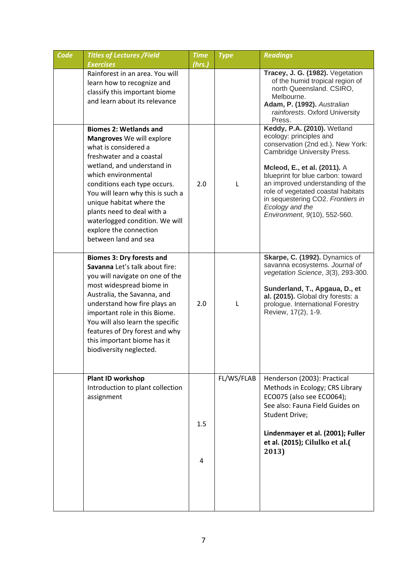| Code | <b>Titles of Lectures /Field</b>                                                                                                                                                                                                                                                                                                                                                       | <b>Time</b> | <b>Type</b> | <b>Readings</b>                                                                                                                                                                                                                                                                                                                                                   |
|------|----------------------------------------------------------------------------------------------------------------------------------------------------------------------------------------------------------------------------------------------------------------------------------------------------------------------------------------------------------------------------------------|-------------|-------------|-------------------------------------------------------------------------------------------------------------------------------------------------------------------------------------------------------------------------------------------------------------------------------------------------------------------------------------------------------------------|
|      | <b>Exercises</b>                                                                                                                                                                                                                                                                                                                                                                       | (hrs.)      |             |                                                                                                                                                                                                                                                                                                                                                                   |
|      | Rainforest in an area. You will<br>learn how to recognize and<br>classify this important biome<br>and learn about its relevance                                                                                                                                                                                                                                                        |             |             | Tracey, J. G. (1982). Vegetation<br>of the humid tropical region of<br>north Queensland. CSIRO,<br>Melbourne.<br>Adam, P. (1992). Australian<br>rainforests. Oxford University<br>Press.                                                                                                                                                                          |
|      | <b>Biomes 2: Wetlands and</b><br>Mangroves We will explore<br>what is considered a<br>freshwater and a coastal<br>wetland, and understand in<br>which environmental<br>conditions each type occurs.<br>You will learn why this is such a<br>unique habitat where the<br>plants need to deal with a<br>waterlogged condition. We will<br>explore the connection<br>between land and sea | 2.0         | L           | Keddy, P.A. (2010). Wetland<br>ecology: principles and<br>conservation (2nd ed.). New York:<br>Cambridge University Press.<br>Mcleod, E., et al. (2011). A<br>blueprint for blue carbon: toward<br>an improved understanding of the<br>role of vegetated coastal habitats<br>in sequestering CO2. Frontiers in<br>Ecology and the<br>Environment, 9(10), 552-560. |
|      | <b>Biomes 3: Dry forests and</b><br>Savanna Let's talk about fire:<br>you will navigate on one of the<br>most widespread biome in<br>Australia, the Savanna, and<br>understand how fire plays an<br>important role in this Biome.<br>You will also learn the specific<br>features of Dry forest and why<br>this important biome has it<br>biodiversity neglected.                      | 2.0         | L           | Skarpe, C. (1992). Dynamics of<br>savanna ecosystems. Journal of<br>vegetation Science, 3(3), 293-300.<br>Sunderland, T., Apgaua, D., et<br>al. (2015). Global dry forests: a<br>prologue. International Forestry<br>Review, 17(2), 1-9.                                                                                                                          |
|      | <b>Plant ID workshop</b><br>Introduction to plant collection<br>assignment                                                                                                                                                                                                                                                                                                             | 1.5<br>4    | FL/WS/FLAB  | Henderson (2003): Practical<br>Methods in Ecology; CRS Library<br>ECO075 (also see ECO064);<br>See also: Fauna Field Guides on<br>Student Drive;<br>Lindenmayer et al. (2001); Fuller<br>et al. (2015); Cilulko et al.(<br>2013)                                                                                                                                  |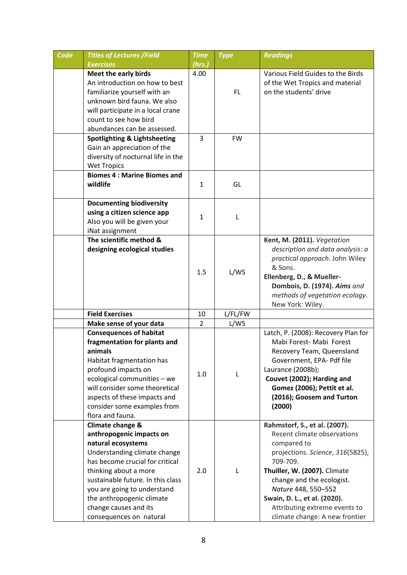| Code | <b>Titles of Lectures /Field</b>                                                                                                                                                                                                                                                                                    | <b>Time</b>    | <b>Type</b>  | <b>Readings</b>                                                                                                                                                                                                                                                                                                    |
|------|---------------------------------------------------------------------------------------------------------------------------------------------------------------------------------------------------------------------------------------------------------------------------------------------------------------------|----------------|--------------|--------------------------------------------------------------------------------------------------------------------------------------------------------------------------------------------------------------------------------------------------------------------------------------------------------------------|
|      | <b>Exercises</b>                                                                                                                                                                                                                                                                                                    | (hrs.)         |              |                                                                                                                                                                                                                                                                                                                    |
|      | Meet the early birds<br>An introduction on how to best<br>familiarize yourself with an<br>unknown bird fauna. We also<br>will participate in a local crane<br>count to see how bird                                                                                                                                 | 4.00           | FL.          | Various Field Guides to the Birds<br>of the Wet Tropics and material<br>on the students' drive                                                                                                                                                                                                                     |
|      | abundances can be assessed.                                                                                                                                                                                                                                                                                         |                |              |                                                                                                                                                                                                                                                                                                                    |
|      | <b>Spotlighting &amp; Lightsheeting</b><br>Gain an appreciation of the<br>diversity of nocturnal life in the<br><b>Wet Tropics</b>                                                                                                                                                                                  | 3              | <b>FW</b>    |                                                                                                                                                                                                                                                                                                                    |
|      | <b>Biomes 4: Marine Biomes and</b><br>wildlife                                                                                                                                                                                                                                                                      | 1              | GL           |                                                                                                                                                                                                                                                                                                                    |
|      | <b>Documenting biodiversity</b><br>using a citizen science app<br>Also you will be given your<br>iNat assignment                                                                                                                                                                                                    | $\mathbf{1}$   | L            |                                                                                                                                                                                                                                                                                                                    |
|      | The scientific method &<br>designing ecological studies                                                                                                                                                                                                                                                             | 1.5            | L/WS         | Kent, M. (2011). Vegetation<br>description and data analysis: a<br>practical approach. John Wiley<br>& Sons.<br>Ellenberg, D., & Mueller-<br>Dombois, D. (1974). Aims and<br>methods of vegetation ecology.<br>New York: Wiley.                                                                                    |
|      | <b>Field Exercises</b>                                                                                                                                                                                                                                                                                              | 10             | L/FL/FW      |                                                                                                                                                                                                                                                                                                                    |
|      | Make sense of your data                                                                                                                                                                                                                                                                                             | $\overline{2}$ | L/WS         |                                                                                                                                                                                                                                                                                                                    |
|      | <b>Consequences of habitat</b><br>fragmentation for plants and<br>animals<br>Habitat fragmentation has<br>profound impacts on<br>ecological communities - we<br>will consider some theoretical<br>aspects of these impacts and<br>consider some examples from<br>flora and fauna.                                   | 1.0            | L            | Latch, P. (2008): Recovery Plan for<br>Mabi Forest- Mabi Forest<br>Recovery Team, Queensland<br>Government, EPA- Pdf file<br>Laurance (2008b);<br>Couvet (2002); Harding and<br>Gomez (2006); Pettit et al.<br>(2016); Goosem and Turton<br>(2000)                                                                 |
|      | Climate change &<br>anthropogenic impacts on<br>natural ecosystems<br>Understanding climate change<br>has become crucial for critical<br>thinking about a more<br>sustainable future. In this class<br>you are going to understand<br>the anthropogenic climate<br>change causes and its<br>consequences on natural | 2.0            | $\mathbf{L}$ | Rahmstorf, S., et al. (2007).<br>Recent climate observations<br>compared to<br>projections. Science, 316(5825),<br>709-709.<br>Thuiller, W. (2007). Climate<br>change and the ecologist.<br>Nature 448, 550-552<br>Swain, D. L., et al. (2020).<br>Attributing extreme events to<br>climate change: A new frontier |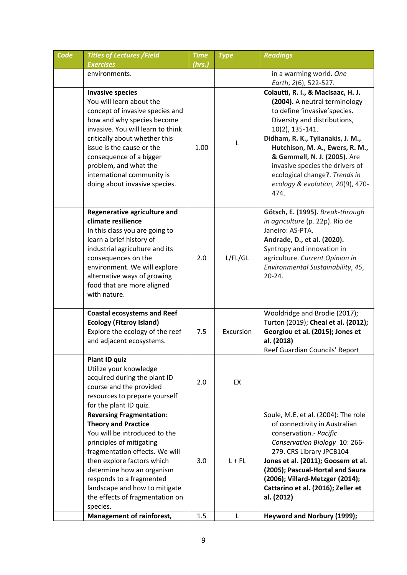| Code | <b>Titles of Lectures /Field</b>                                                                                                                                                                                                                                                                                                                                 | <b>Time</b> | <b>Type</b>   | <b>Readings</b>                                                                                                                                                                                                                                                                                                                                                                 |
|------|------------------------------------------------------------------------------------------------------------------------------------------------------------------------------------------------------------------------------------------------------------------------------------------------------------------------------------------------------------------|-------------|---------------|---------------------------------------------------------------------------------------------------------------------------------------------------------------------------------------------------------------------------------------------------------------------------------------------------------------------------------------------------------------------------------|
|      | <b>Exercises</b>                                                                                                                                                                                                                                                                                                                                                 | (hrs.)      |               |                                                                                                                                                                                                                                                                                                                                                                                 |
|      | environments.                                                                                                                                                                                                                                                                                                                                                    |             |               | in a warming world. One<br>Earth, 2(6), 522-527.                                                                                                                                                                                                                                                                                                                                |
|      | <b>Invasive species</b><br>You will learn about the<br>concept of invasive species and<br>how and why species become<br>invasive. You will learn to think<br>critically about whether this<br>issue is the cause or the<br>consequence of a bigger<br>problem, and what the<br>international community is<br>doing about invasive species.                       | 1.00        | $\mathbf{I}$  | Colautti, R. I., & MacIsaac, H. J.<br>(2004). A neutral terminology<br>to define 'invasive' species.<br>Diversity and distributions,<br>10(2), 135-141.<br>Didham, R. K., Tylianakis, J. M.,<br>Hutchison, M. A., Ewers, R. M.,<br>& Gemmell, N. J. (2005). Are<br>invasive species the drivers of<br>ecological change?. Trends in<br>ecology & evolution, 20(9), 470-<br>474. |
|      | Regenerative agriculture and<br>climate resilience<br>In this class you are going to<br>learn a brief history of<br>industrial agriculture and its<br>consequences on the<br>environment. We will explore<br>alternative ways of growing<br>food that are more aligned<br>with nature.                                                                           | 2.0         | L/FL/GL       | Götsch, E. (1995). Break-through<br>in agriculture (p. 22p). Rio de<br>Janeiro: AS-PTA.<br>Andrade, D., et al. (2020).<br>Syntropy and innovation in<br>agriculture. Current Opinion in<br>Environmental Sustainability, 45,<br>$20 - 24.$                                                                                                                                      |
|      | <b>Coastal ecosystems and Reef</b><br><b>Ecology (Fitzroy Island)</b><br>Explore the ecology of the reef<br>and adjacent ecosystems.                                                                                                                                                                                                                             | 7.5         | Excursion     | Wooldridge and Brodie (2017);<br>Turton (2019); Cheal et al. (2012);<br>Georgiou et al. (2015); Jones et<br>al. (2018)<br>Reef Guardian Councils' Report                                                                                                                                                                                                                        |
|      | <b>Plant ID quiz</b><br>Utilize your knowledge<br>acquired during the plant ID<br>course and the provided<br>resources to prepare yourself<br>for the plant ID quiz.                                                                                                                                                                                             | 2.0         | EX            |                                                                                                                                                                                                                                                                                                                                                                                 |
|      | <b>Reversing Fragmentation:</b><br><b>Theory and Practice</b><br>You will be introduced to the<br>principles of mitigating<br>fragmentation effects. We will<br>then explore factors which<br>determine how an organism<br>responds to a fragmented<br>landscape and how to mitigate<br>the effects of fragmentation on<br>species.<br>Management of rainforest, | 3.0<br>1.5  | $L + FL$<br>L | Soule, M.E. et al. (2004): The role<br>of connectivity in Australian<br>conservation.- Pacific<br>Conservation Biology 10: 266-<br>279. CRS Library JPCB104<br>Jones et al. (2011); Goosem et al.<br>(2005); Pascual-Hortal and Saura<br>(2006); Villard-Metzger (2014);<br>Cattarino et al. (2016); Zeller et<br>al. (2012)<br>Heyword and Norbury (1999);                     |